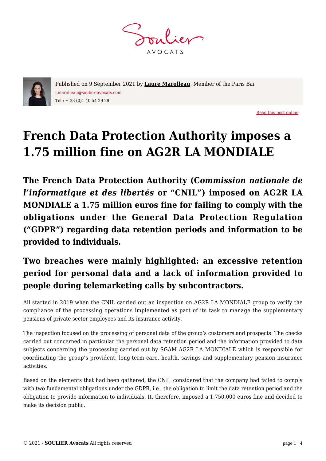**AVOCATS** 



Published on 9 September 2021 by **[Laure Marolleau](https://www.soulier-avocats.com/en/equipe/laure-marolleau-en/)**, Member of the Paris Bar l.marolleau@soulier-avocats.com Tel.: + 33 (0)1 40 54 29 29

[Read this post online](https://www.soulier-avocats.com/en/french-data-protection-authority-imposes-a-175-million-fine-on-ag2r-la-mondiale/)

# **French Data Protection Authority imposes a 1.75 million fine on AG2R LA MONDIALE**

**The French Data Protection Authority (C***ommission nationale de l'informatique et des libertés* **or "CNIL") imposed on AG2R LA MONDIALE a 1.75 million euros fine for failing to comply with the obligations under the General Data Protection Regulation ("GDPR") regarding data retention periods and information to be provided to individuals.**

## **Two breaches were mainly highlighted: an excessive retention period for personal data and a lack of information provided to people during telemarketing calls by subcontractors.**

All started in 2019 when the CNIL carried out an inspection on AG2R LA MONDIALE group to verify the compliance of the processing operations implemented as part of its task to manage the supplementary pensions of private sector employees and its insurance activity.

The inspection focused on the processing of personal data of the group's customers and prospects. The checks carried out concerned in particular the personal data retention period and the information provided to data subjects concerning the processing carried out by SGAM AG2R LA MONDIALE which is responsible for coordinating the group's provident, long-term care, health, savings and supplementary pension insurance activities.

Based on the elements that had been gathered, the CNIL considered that the company had failed to comply with two fundamental obligations under the GDPR, i.e., the obligation to limit the data retention period and the obligation to provide information to individuals. It, therefore, imposed a 1,750,000 euros fine and decided to make its decision public.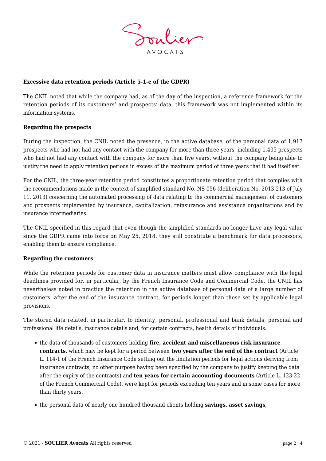

#### **Excessive data retention periods (Article 5-1-e of the GDPR)**

The CNIL noted that while the company had, as of the day of the inspection, a reference framework for the retention periods of its customers' and prospects' data, this framework was not implemented within its information systems.

#### **Regarding the prospects**

During the inspection, the CNIL noted the presence, in the active database, of the personal data of 1,917 prospects who had not had any contact with the company for more than three years, including 1,405 prospects who had not had any contact with the company for more than five years, without the company being able to justify the need to apply retention periods in excess of the maximum period of three years that it had itself set.

For the CNIL, the three-year retention period constitutes a proportionate retention period that complies with the recommendations made in the context of simplified standard No. NS-056 (deliberation No. 2013-213 of July 11, 2013) concerning the automated processing of data relating to the commercial management of customers and prospects implemented by insurance, capitalization, reinsurance and assistance organizations and by insurance intermediaries.

The CNIL specified in this regard that even though the simplified standards no longer have any legal value since the GDPR came into force on May 25, 2018, they still constitute a benchmark for data processors, enabling them to ensure compliance.

#### **Regarding the customers**

While the retention periods for customer data in insurance matters must allow compliance with the legal deadlines provided for, in particular, by the French Insurance Code and Commercial Code, the CNIL has nevertheless noted in practice the retention in the active database of personal data of a large number of customers, after the end of the insurance contract, for periods longer than those set by applicable legal provisions.

The stored data related, in particular, to identity, personal, professional and bank details, personal and professional life details, insurance details and, for certain contracts, health details of individuals:

- the data of thousands of customers holding **fire, accident and miscellaneous risk insurance contracts**, which may be kept for a period between **two years after the end of the contract** (Article L. 114-1 of the French Insurance Code setting out the limitation periods for legal actions deriving from insurance contracts, no other purpose having been specified by the company to justify keeping the data after the expiry of the contracts) and **ten years for certain accounting documents** (Article L. 123-22 of the French Commercial Code), were kept for periods exceeding ten years and in some cases for more than thirty years.
- the personal data of nearly one hundred thousand clients holding **savings, asset savings,**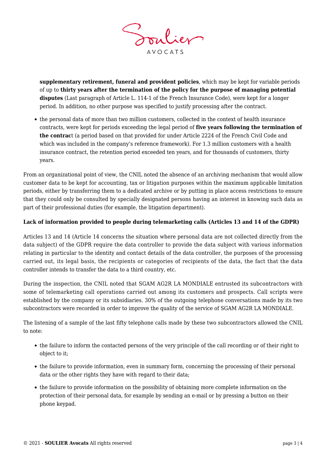

**supplementary retirement, funeral and provident policies**, which may be kept for variable periods of up to **thirty years after the termination of the policy for the purpose of managing potential disputes** (Last paragraph of Article L. 114-1 of the French Insurance Code), were kept for a longer period. In addition, no other purpose was specified to justify processing after the contract.

• the personal data of more than two million customers, collected in the context of health insurance contracts, were kept for periods exceeding the legal period of **five years following the termination of the contrac**t (a period based on that provided for under Article 2224 of the French Civil Code and which was included in the company's reference framework). For 1.3 million customers with a health insurance contract, the retention period exceeded ten years, and for thousands of customers, thirty years.

From an organizational point of view, the CNIL noted the absence of an archiving mechanism that would allow customer data to be kept for accounting, tax or litigation purposes within the maximum applicable limitation periods, either by transferring them to a dedicated archive or by putting in place access restrictions to ensure that they could only be consulted by specially designated persons having an interest in knowing such data as part of their professional duties (for example, the litigation department).

### **Lack of information provided to people during telemarketing calls (Articles 13 and 14 of the GDPR)**

Articles 13 and 14 (Article 14 concerns the situation where personal data are not collected directly from the data subject) of the GDPR require the data controller to provide the data subject with various information relating in particular to the identity and contact details of the data controller, the purposes of the processing carried out, its legal basis, the recipients or categories of recipients of the data, the fact that the data controller intends to transfer the data to a third country, etc.

During the inspection, the CNIL noted that SGAM AG2R LA MONDIALE entrusted its subcontractors with some of telemarketing call operations carried out among its customers and prospects. Call scripts were established by the company or its subsidiaries. 30% of the outgoing telephone conversations made by its two subcontractors were recorded in order to improve the quality of the service of SGAM AG2R LA MONDIALE.

The listening of a sample of the last fifty telephone calls made by these two subcontractors allowed the CNIL to note:

- the failure to inform the contacted persons of the very principle of the call recording or of their right to object to it;
- the failure to provide information, even in summary form, concerning the processing of their personal data or the other rights they have with regard to their data;
- the failure to provide information on the possibility of obtaining more complete information on the protection of their personal data, for example by sending an e-mail or by pressing a button on their phone keypad.